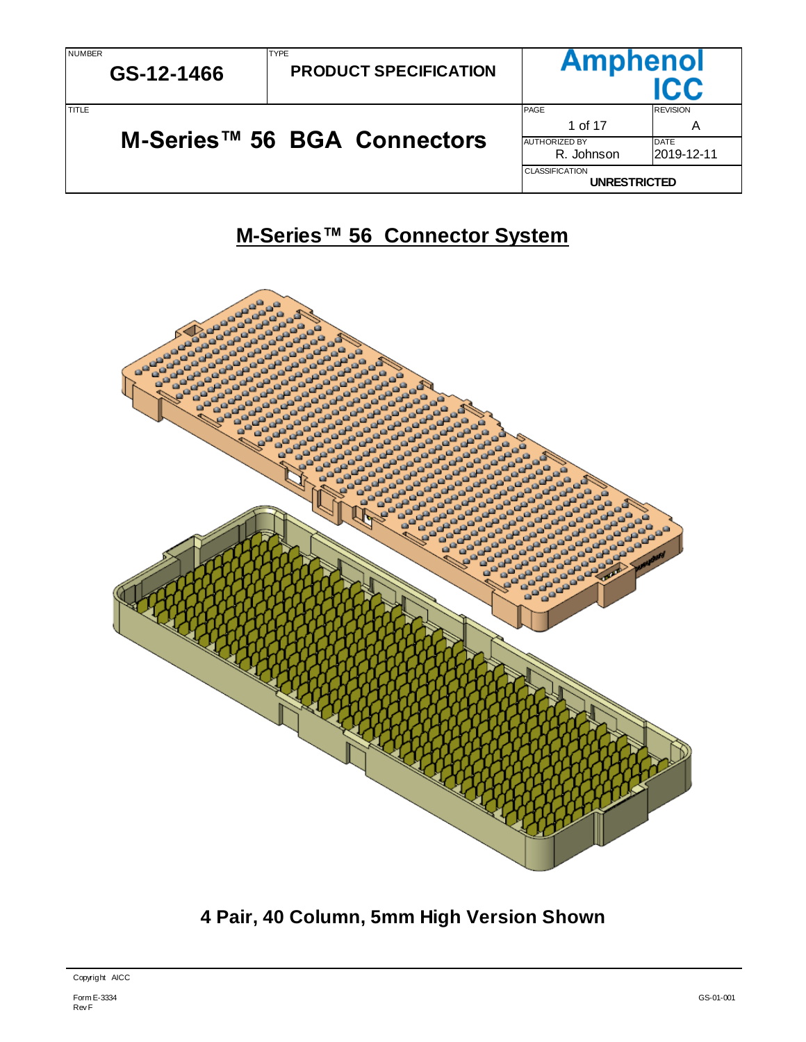# **M-Series™ 56 Connector System**



**4 Pair, 40 Column, 5mm High Version Shown**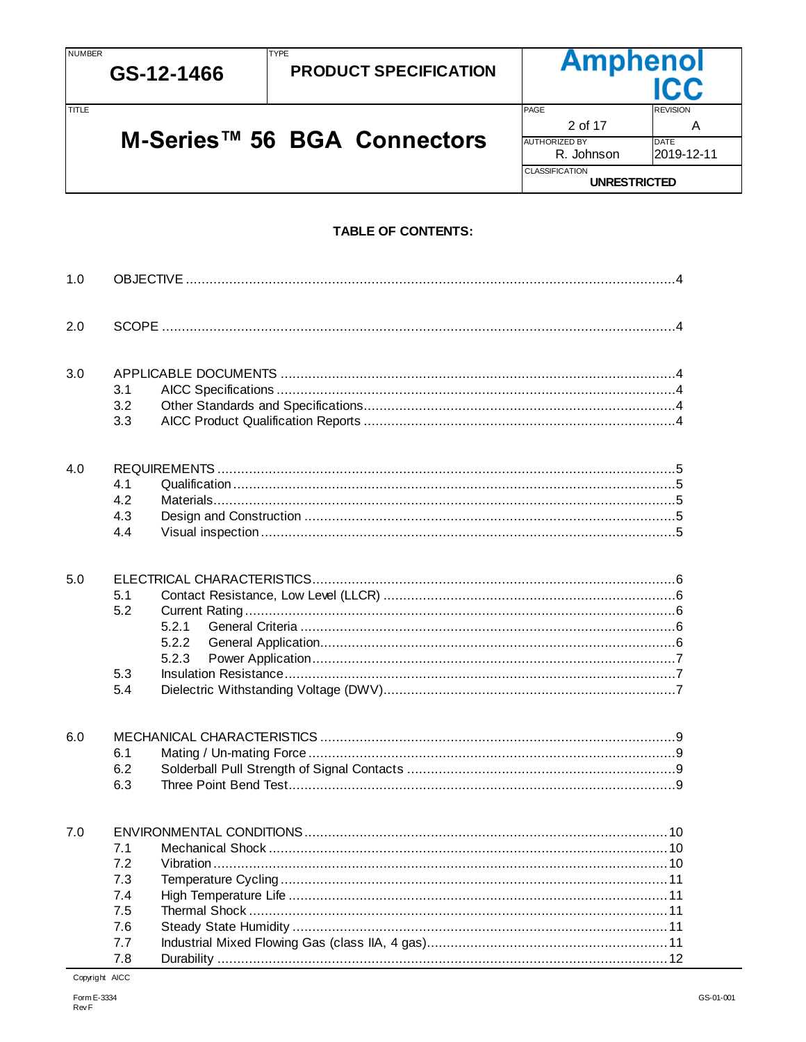TITLE

**TYPE** 

M-Series™ 56 BGA Connectors



# **TABLE OF CONTENTS:**

| 1.0 |                                                      |                                |
|-----|------------------------------------------------------|--------------------------------|
| 2.0 |                                                      |                                |
| 3.0 | 3.1<br>3.2<br>3.3                                    |                                |
| 4.0 | 4.1<br>4.2<br>4.3<br>4.4                             |                                |
| 5.0 | 5.1<br>5.2<br>5.3                                    | 5.2.1<br>5.2.2<br>5.2.3        |
|     | 5.4                                                  |                                |
| 6.0 | 6.1<br>6.2<br>6.3                                    |                                |
| 7.0 | 7.1<br>7.2<br>7.3<br>7.4<br>7.5<br>7.6<br>7.7<br>7.8 | 12 <sup>7</sup><br>Durability. |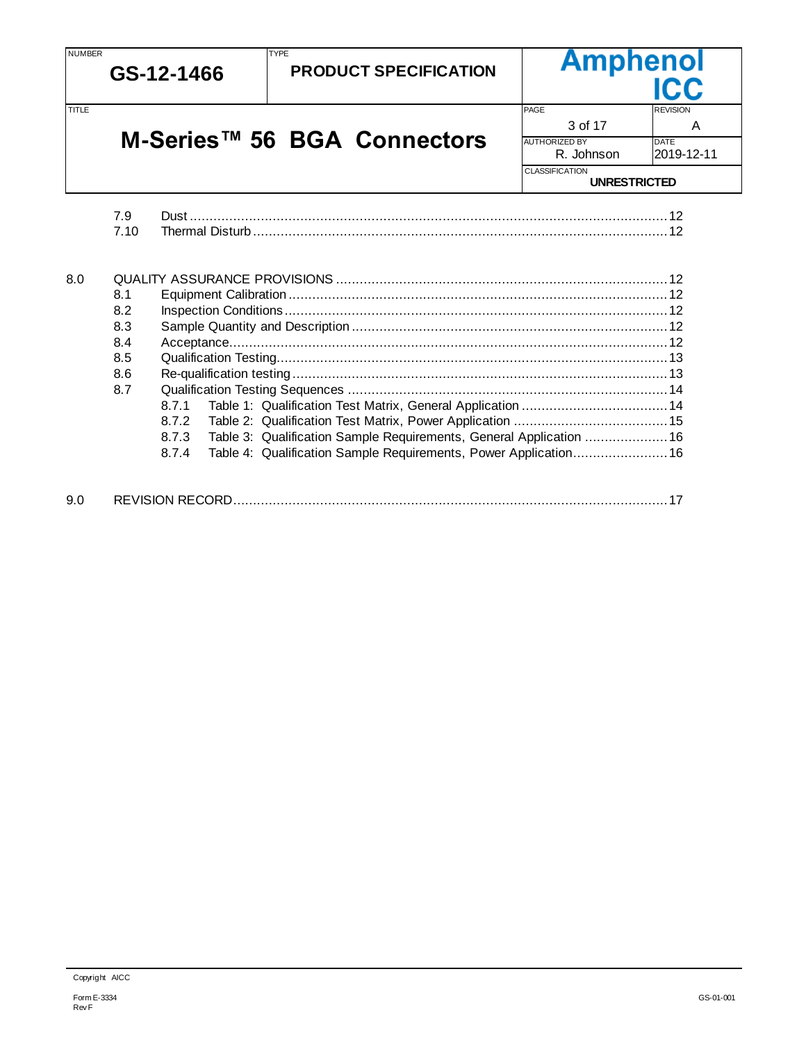NUMBER

**GS-12-1466**

**PRODUCT SPECIFICATION**

**Amphenol** 

3 of 17 and 17 and 18

**UNRESTRICTED**

AUTHORIZED BY DATE<br>R. Johnson 2019-12-11

R. Johnson

CLASSIFICATION

TITLE TIME REVISION AND REVISION CONTROL CONTROL CONTROL CONTROL CONTROL CONTROL CONTROL CONTROL CONTROL CONTROL CONTROL CONTROL CONTROL CONTROL CONTROL CONTROL CONTROL CONTROL CONTROL CONTROL CONTROL CONTROL CONTROL CONTR

# **M-Series™ 56 BGA Connectors**

TYPE

|     | 7.9  |                                                                              |  |
|-----|------|------------------------------------------------------------------------------|--|
|     | 7.10 |                                                                              |  |
| 8.0 |      |                                                                              |  |
|     | 8.1  |                                                                              |  |
|     | 8.2  |                                                                              |  |
|     | 8.3  |                                                                              |  |
|     | 8.4  |                                                                              |  |
|     | 8.5  |                                                                              |  |
|     | 8.6  |                                                                              |  |
|     | 8.7  |                                                                              |  |
|     |      | Table 1: Qualification Test Matrix, General Application  14<br>8.7.1         |  |
|     |      | 8.7.2                                                                        |  |
|     |      | Table 3: Qualification Sample Requirements, General Application  16<br>8.7.3 |  |
|     |      | 8.7.4                                                                        |  |
| 9.0 |      |                                                                              |  |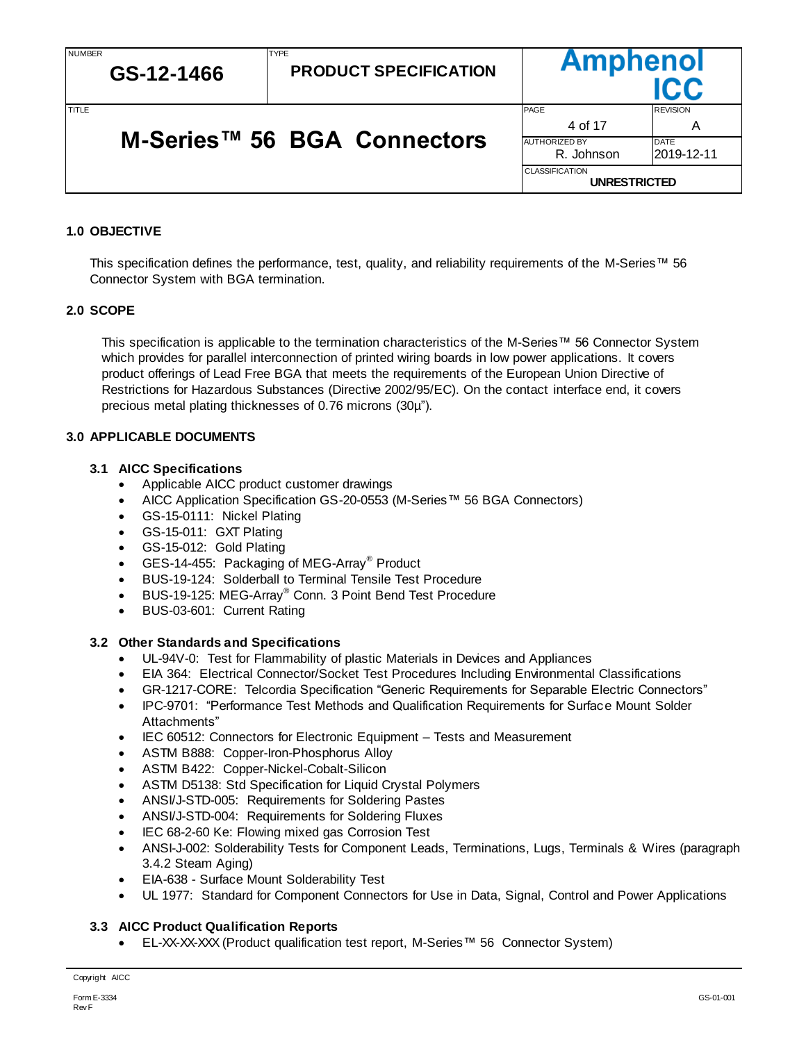4 of 17 A

**Ampheno** 

R. Johnson 2019-12-11

**UNRESTRICTED**

AUTHORIZED BY DATE

CLASSIFICATION

TITLE TIME REVISION AND REVISION CONTROL CONTROL CONTROL CONTROL CONTROL CONTROL CONTROL CONTROL CONTROL CONTROL CONTROL CONTROL CONTROL CONTROL CONTROL CONTROL CONTROL CONTROL CONTROL CONTROL CONTROL CONTROL CONTROL CONTR

# **M-Series™ 56 BGA Connectors**

TYPE

### <span id="page-3-0"></span>**1.0 OBJECTIVE**

This specification defines the performance, test, quality, and reliability requirements of the M-Series™ 56 Connector System with BGA termination.

### <span id="page-3-1"></span>**2.0 SCOPE**

This specification is applicable to the termination characteristics of the M-Series™ 56 Connector System which provides for parallel interconnection of printed wiring boards in low power applications. It covers product offerings of Lead Free BGA that meets the requirements of the European Union Directive of Restrictions for Hazardous Substances (Directive 2002/95/EC). On the contact interface end, it covers precious metal plating thicknesses of 0.76 microns (30µ").

### <span id="page-3-2"></span>**3.0 APPLICABLE DOCUMENTS**

### <span id="page-3-3"></span>**3.1 AICC Specifications**

- Applicable AICC product customer drawings
- AICC Application Specification GS-20-0553 (M-Series™ 56 BGA Connectors)
- GS-15-0111: Nickel Plating
- GS-15-011: GXT Plating
- GS-15-012: Gold Plating
- GES-14-455: Packaging of MEG-Array<sup>®</sup> Product
- BUS-19-124: Solderball to Terminal Tensile Test Procedure
- BUS-19-125: MEG-Array<sup>®</sup> Conn. 3 Point Bend Test Procedure
- BUS-03-601: Current Rating

### <span id="page-3-4"></span>**3.2 Other Standards and Specifications**

- UL-94V-0: Test for Flammability of plastic Materials in Devices and Appliances
- EIA 364: Electrical Connector/Socket Test Procedures Including Environmental Classifications
- GR-1217-CORE: Telcordia Specification "Generic Requirements for Separable Electric Connectors"
- IPC-9701: "Performance Test Methods and Qualification Requirements for Surface Mount Solder Attachments"
- IEC 60512: Connectors for Electronic Equipment Tests and Measurement
- ASTM B888: Copper-Iron-Phosphorus Alloy
- ASTM B422: Copper-Nickel-Cobalt-Silicon
- ASTM D5138: Std Specification for Liquid Crystal Polymers
- ANSI/J-STD-005: Requirements for Soldering Pastes
- ANSI/J-STD-004: Requirements for Soldering Fluxes
- IEC 68-2-60 Ke: Flowing mixed gas Corrosion Test
- ANSI-J-002: Solderability Tests for Component Leads, Terminations, Lugs, Terminals & Wires (paragraph 3.4.2 Steam Aging)
- EIA-638 Surface Mount Solderability Test
- UL 1977: Standard for Component Connectors for Use in Data, Signal, Control and Power Applications

### <span id="page-3-5"></span>**3.3 AICC Product Qualification Reports**

EL-XX-XX-XXX (Product qualification test report, M-Series™ 56 Connector System)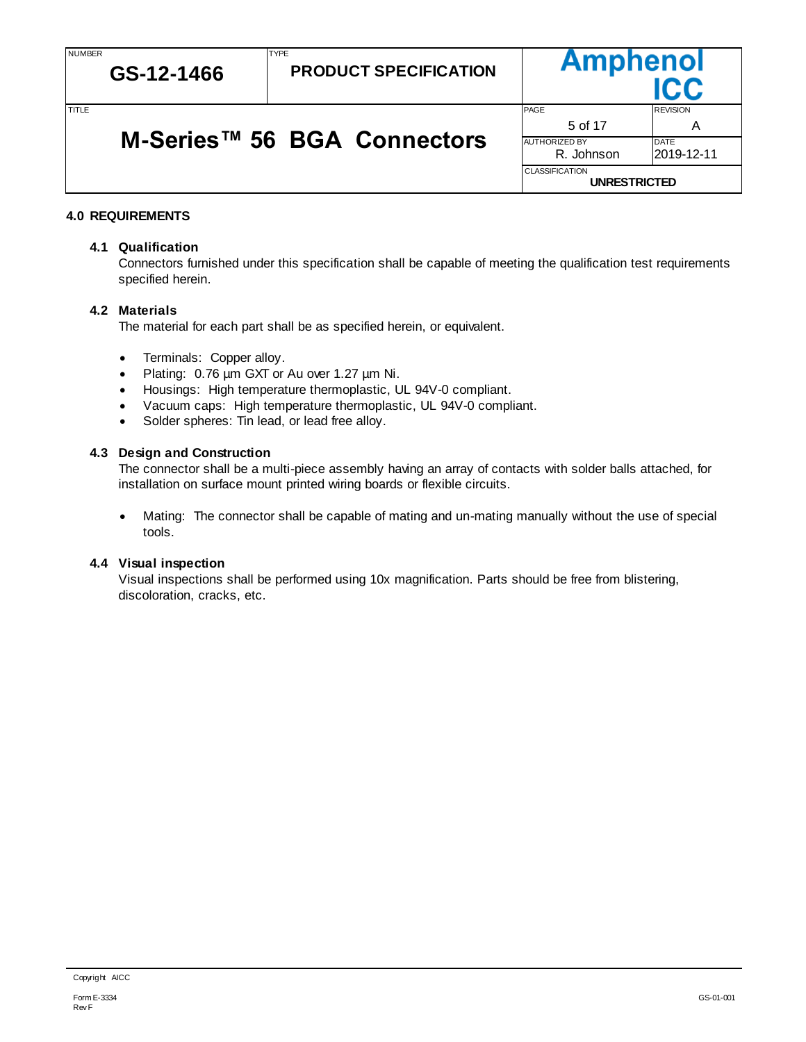TITLE TIME REVISION AND REVISION CONTROL CONTROL CONTROL CONTROL CONTROL CONTROL CONTROL CONTROL CONTROL CONTROL CONTROL CONTROL CONTROL CONTROL CONTROL CONTROL CONTROL CONTROL CONTROL CONTROL CONTROL CONTROL CONTROL CONTR

| M-Series™ 56 BGA Connectors |  | 5 of 17                     |                            |
|-----------------------------|--|-----------------------------|----------------------------|
|                             |  | AUTHORIZED BY<br>R. Johnson | <b>IDATE</b><br>2019-12-11 |

TYPE

### <span id="page-4-0"></span>**4.0 REQUIREMENTS**

#### <span id="page-4-1"></span>**4.1 Qualification**

**GS-12-1466**

Connectors furnished under this specification shall be capable of meeting the qualification test requirements specified herein.

**Amphenol** 

**UNRESTRICTED**

CLASSIFICATION

#### <span id="page-4-2"></span>**4.2 Materials**

The material for each part shall be as specified herein, or equivalent.

- Terminals: Copper alloy.
- Plating: 0.76 µm GXT or Au over 1.27 µm Ni.
- Housings: High temperature thermoplastic, UL 94V-0 compliant.
- Vacuum caps: High temperature thermoplastic, UL 94V-0 compliant.
- Solder spheres: Tin lead, or lead free alloy.

#### <span id="page-4-3"></span>**4.3 Design and Construction**

The connector shall be a multi-piece assembly having an array of contacts with solder balls attached, for installation on surface mount printed wiring boards or flexible circuits.

 Mating: The connector shall be capable of mating and un-mating manually without the use of special tools.

#### <span id="page-4-4"></span>**4.4 Visual inspection**

Visual inspections shall be performed using 10x magnification. Parts should be free from blistering, discoloration, cracks, etc.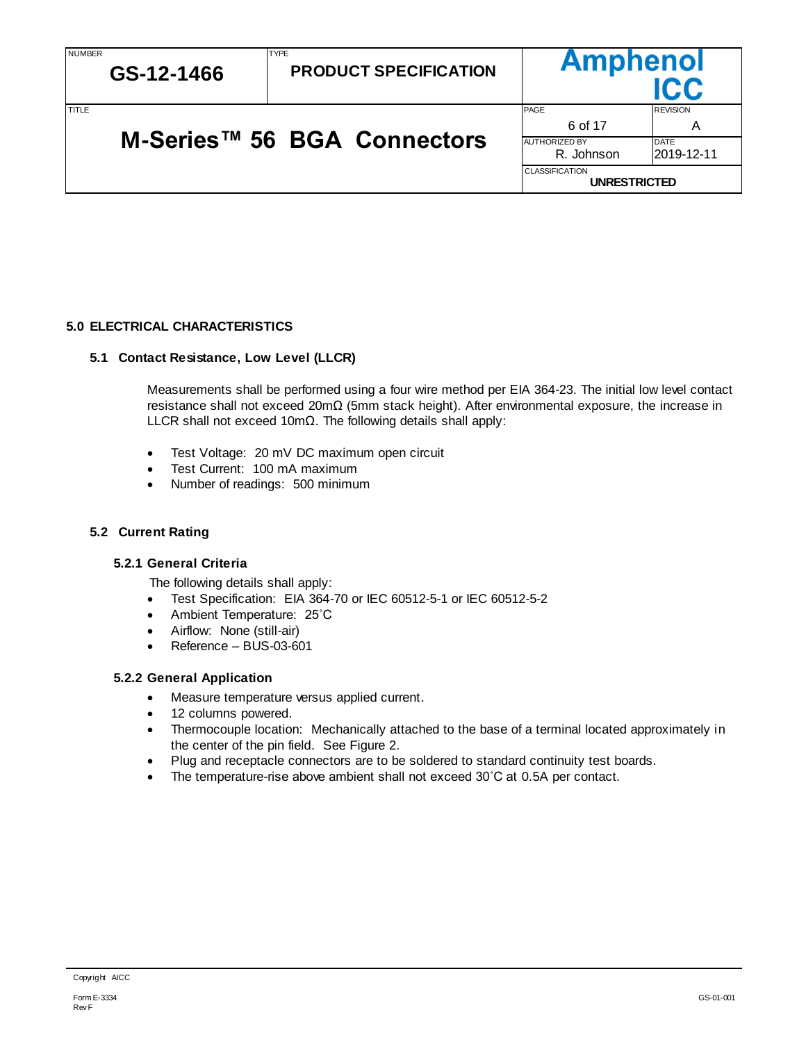| <b>NUMBER</b><br>GS-12-1466 |  | <b>TYPE</b><br><b>PRODUCT SPECIFICATION</b>  | <b>Amphenol</b>      | ICC             |
|-----------------------------|--|----------------------------------------------|----------------------|-----------------|
| TITLE                       |  |                                              | PAGE                 | <b>REVISION</b> |
|                             |  |                                              | 6 of 17              | Α               |
|                             |  | M-Series <sup>™</sup> 56 BGA Connectors      | <b>AUTHORIZED BY</b> | <b>DATE</b>     |
|                             |  |                                              | R. Johnson           | 2019-12-11      |
|                             |  | <b>CLASSIFICATION</b><br><b>UNRESTRICTED</b> |                      |                 |

# <span id="page-5-0"></span>**5.0 ELECTRICAL CHARACTERISTICS**

### <span id="page-5-1"></span>**5.1 Contact Resistance, Low Level (LLCR)**

Measurements shall be performed using a four wire method per EIA 364-23. The initial low level contact resistance shall not exceed 20mΩ (5mm stack height). After environmental exposure, the increase in LLCR shall not exceed 10mΩ. The following details shall apply:

- Test Voltage: 20 mV DC maximum open circuit
- Test Current: 100 mA maximum
- Number of readings: 500 minimum

### <span id="page-5-3"></span><span id="page-5-2"></span>**5.2 Current Rating**

### **5.2.1 General Criteria**

The following details shall apply:

- Test Specification: EIA 364-70 or IEC 60512-5-1 or IEC 60512-5-2
- Ambient Temperature: 25˚C
- Airflow: None (still-air)
- Reference BUS-03-601

### <span id="page-5-4"></span>**5.2.2 General Application**

- Measure temperature versus applied current.
- 12 columns powered.
- Thermocouple location: Mechanically attached to the base of a terminal located approximately in the center of the pin field. See Figure 2.
- Plug and receptacle connectors are to be soldered to standard continuity test boards.
- The temperature-rise above ambient shall not exceed 30˚C at 0.5A per contact.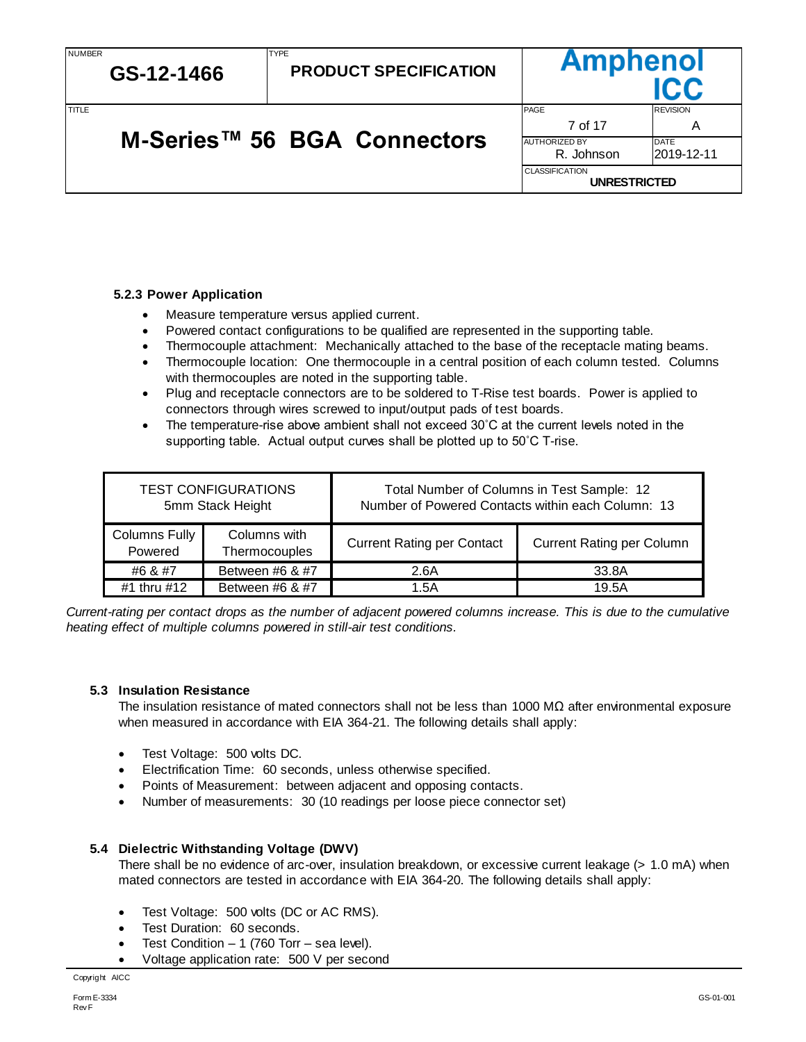| NUMBER | GS-12-1466 | <b>TYPE</b><br><b>PRODUCT SPECIFICATION</b> |                                              | <b>Amphenol</b>      |  |  |
|--------|------------|---------------------------------------------|----------------------------------------------|----------------------|--|--|
| TITLE  |            |                                             | <b>PAGE</b><br>7 of 17                       | <b>REVISION</b><br>Α |  |  |
|        |            | M-Series <sup>™</sup> 56 BGA Connectors     | <b>AUTHORIZED BY</b><br>R. Johnson           | DATE<br>l2019-12-11  |  |  |
|        |            |                                             | <b>CLASSIFICATION</b><br><b>UNRESTRICTED</b> |                      |  |  |

# **M-Series™ 56 BGA Connectors**

### <span id="page-6-0"></span>**5.2.3 Power Application**

- Measure temperature versus applied current.
- Powered contact configurations to be qualified are represented in the supporting table.
- Thermocouple attachment: Mechanically attached to the base of the receptacle mating beams.
- Thermocouple location: One thermocouple in a central position of each column tested. Columns with thermocouples are noted in the supporting table.
- Plug and receptacle connectors are to be soldered to T-Rise test boards. Power is applied to connectors through wires screwed to input/output pads of test boards.
- The temperature-rise above ambient shall not exceed 30°C at the current levels noted in the supporting table. Actual output curves shall be plotted up to 50˚C T-rise.

|                                 | <b>TEST CONFIGURATIONS</b><br>5mm Stack Height | Total Number of Columns in Test Sample: 12<br>Number of Powered Contacts within each Column: 13 |                                  |  |  |
|---------------------------------|------------------------------------------------|-------------------------------------------------------------------------------------------------|----------------------------------|--|--|
| <b>Columns Fully</b><br>Powered | Columns with<br>Thermocouples                  | <b>Current Rating per Contact</b>                                                               | <b>Current Rating per Column</b> |  |  |
| #6 & #7                         | Between #6 & #7                                | 2.6A                                                                                            | 33.8A                            |  |  |
| #1 thru #12                     | Between #6 & #7                                | 1.5A                                                                                            | 19.5A                            |  |  |

*Current-rating per contact drops as the number of adjacent powered columns increase. This is due to the cumulative heating effect of multiple columns powered in still-air test conditions.* 

### <span id="page-6-1"></span>**5.3 Insulation Resistance**

The insulation resistance of mated connectors shall not be less than 1000 MΩ after environmental exposure when measured in accordance with EIA 364-21. The following details shall apply:

- Test Voltage: 500 volts DC.
- Electrification Time: 60 seconds, unless otherwise specified.
- Points of Measurement: between adjacent and opposing contacts.
- Number of measurements: 30 (10 readings per loose piece connector set)

### <span id="page-6-2"></span>**5.4 Dielectric Withstanding Voltage (DWV)**

There shall be no evidence of arc-over, insulation breakdown, or excessive current leakage (> 1.0 mA) when mated connectors are tested in accordance with EIA 364-20. The following details shall apply:

- Test Voltage: 500 volts (DC or AC RMS).
- Test Duration: 60 seconds.
- Test Condition 1 (760 Torr sea level).
- Voltage application rate: 500 V per second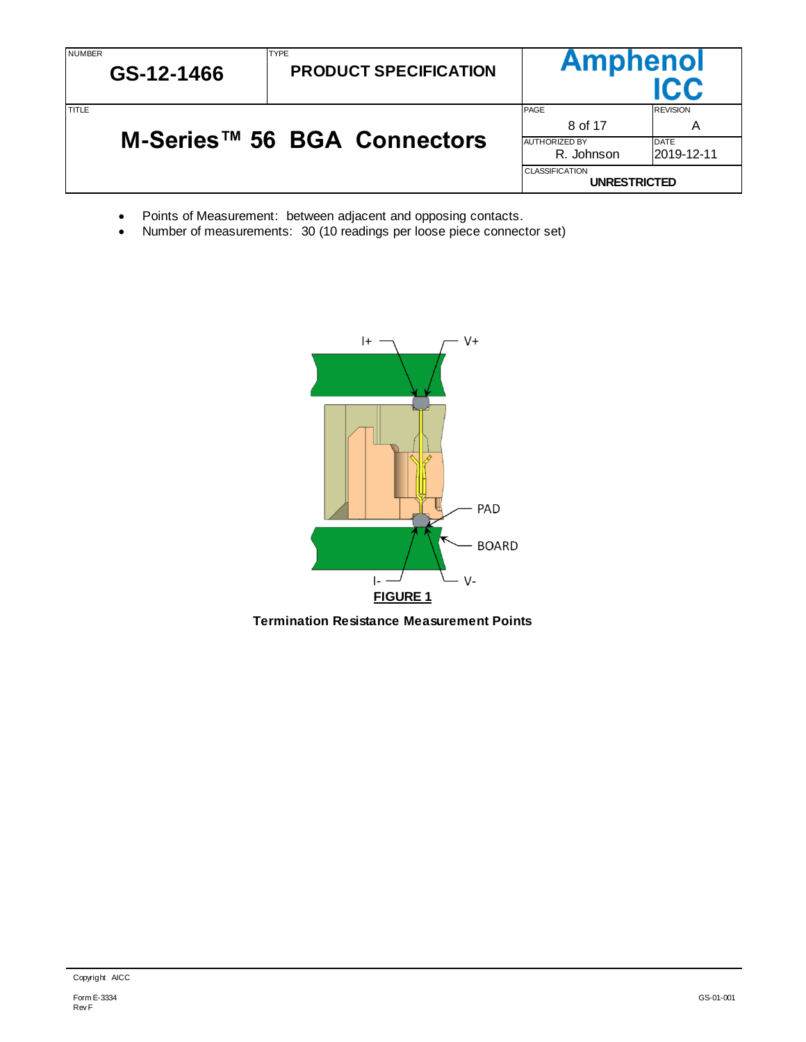| <b>NUMBER</b><br>GS-12-1466 | <b>TYPE</b><br><b>PRODUCT SPECIFICATION</b>  |                                                       | <b>Amphenol</b><br>IC.C                            |  |  |
|-----------------------------|----------------------------------------------|-------------------------------------------------------|----------------------------------------------------|--|--|
| TITLE                       | M-Series <sup>™</sup> 56 BGA Connectors      | PAGE<br>8 of 17<br><b>AUTHORIZED BY</b><br>R. Johnson | <b>REVISION</b><br>A<br><b>DATE</b><br>l2019-12-11 |  |  |
|                             | <b>CLASSIFICATION</b><br><b>UNRESTRICTED</b> |                                                       |                                                    |  |  |

- Points of Measurement: between adjacent and opposing contacts.
- Number of measurements: 30 (10 readings per loose piece connector set)



**Termination Resistance Measurement Points**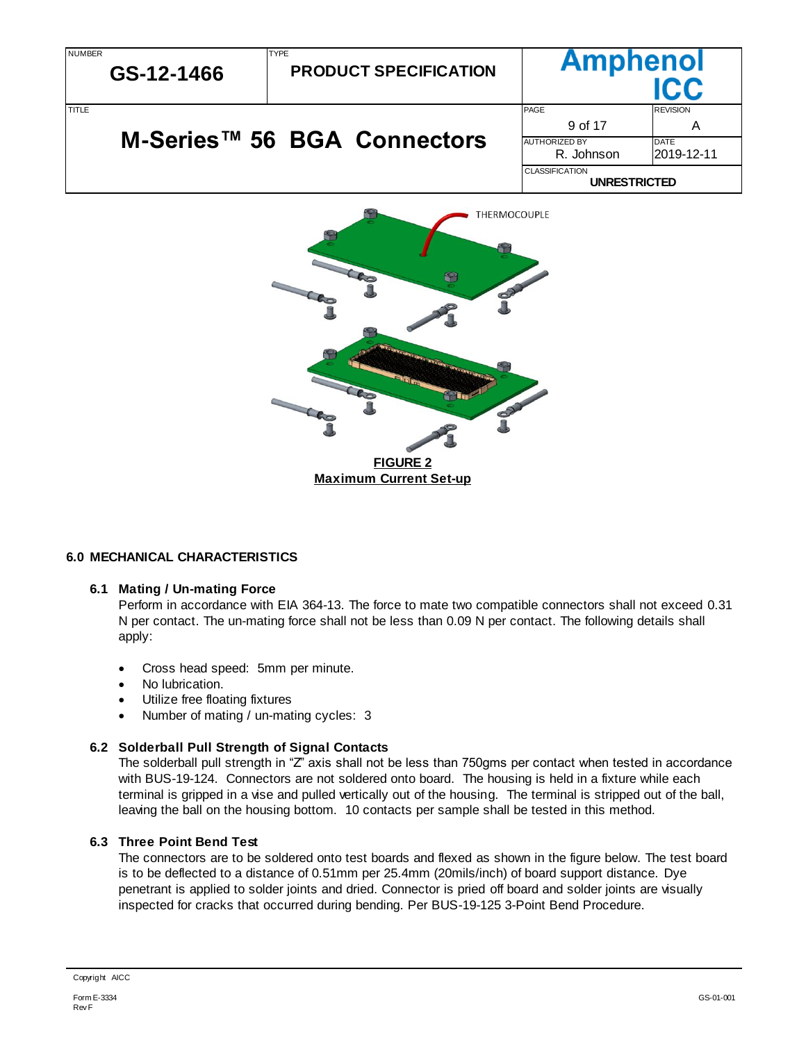| <b>NUMBER</b> | GS-12-1466 | <b>TYPE</b><br><b>PRODUCT SPECIFICATION</b> |                       | <b>Amphenol</b><br><b>ICC</b> |  |  |
|---------------|------------|---------------------------------------------|-----------------------|-------------------------------|--|--|
| <b>TITLE</b>  |            |                                             | <b>PAGE</b>           | <b>REVISION</b>               |  |  |
|               |            | 9 of 17                                     | A                     |                               |  |  |
|               |            | M-Series <sup>™</sup> 56 BGA Connectors     | <b>AUTHORIZED BY</b>  | <b>IDATE</b>                  |  |  |
|               |            |                                             | R. Johnson            | l2019-12-11                   |  |  |
|               |            |                                             | <b>CLASSIFICATION</b> |                               |  |  |
|               |            | <b>UNRESTRICTED</b>                         |                       |                               |  |  |



# <span id="page-8-0"></span>**6.0 MECHANICAL CHARACTERISTICS**

### <span id="page-8-1"></span>**6.1 Mating / Un-mating Force**

Perform in accordance with EIA 364-13. The force to mate two compatible connectors shall not exceed 0.31 N per contact. The un-mating force shall not be less than 0.09 N per contact. The following details shall apply:

- Cross head speed: 5mm per minute.
- No lubrication.
- Utilize free floating fixtures
- Number of mating / un-mating cycles: 3

# <span id="page-8-2"></span>**6.2 Solderball Pull Strength of Signal Contacts**

The solderball pull strength in "Z" axis shall not be less than 750gms per contact when tested in accordance with BUS-19-124. Connectors are not soldered onto board. The housing is held in a fixture while each terminal is gripped in a vise and pulled vertically out of the housing. The terminal is stripped out of the ball, leaving the ball on the housing bottom. 10 contacts per sample shall be tested in this method.

### <span id="page-8-3"></span>**6.3 Three Point Bend Test**

The connectors are to be soldered onto test boards and flexed as shown in the figure below. The test board is to be deflected to a distance of 0.51mm per 25.4mm (20mils/inch) of board support distance. Dye penetrant is applied to solder joints and dried. Connector is pried off board and solder joints are visually inspected for cracks that occurred during bending. Per BUS-19-125 3-Point Bend Procedure.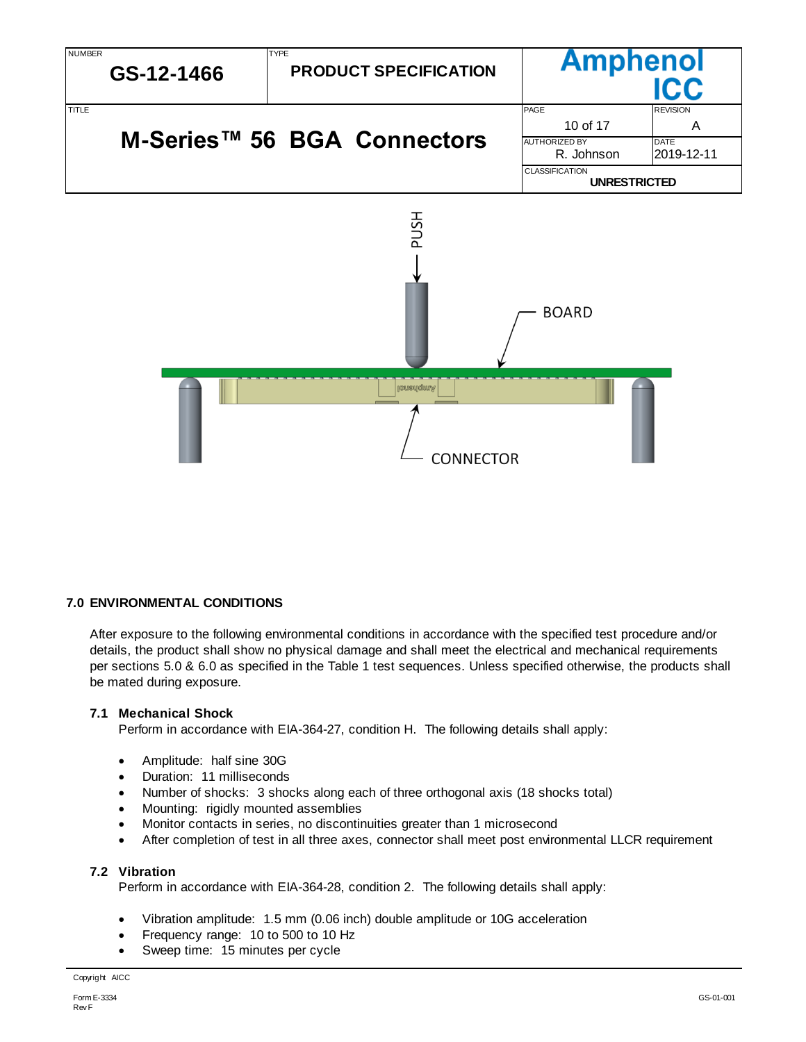

### <span id="page-9-0"></span>**7.0 ENVIRONMENTAL CONDITIONS**

After exposure to the following environmental conditions in accordance with the specified test procedure and/or details, the product shall show no physical damage and shall meet the electrical and mechanical requirements per sections 5.0 & 6.0 as specified in the Table 1 test sequences. Unless specified otherwise, the products shall be mated during exposure.

#### <span id="page-9-1"></span>**7.1 Mechanical Shock**

Perform in accordance with EIA-364-27, condition H. The following details shall apply:

- Amplitude: half sine 30G
- Duration: 11 milliseconds
- Number of shocks: 3 shocks along each of three orthogonal axis (18 shocks total)
- Mounting: rigidly mounted assemblies
- Monitor contacts in series, no discontinuities greater than 1 microsecond
- After completion of test in all three axes, connector shall meet post environmental LLCR requirement

### <span id="page-9-2"></span>**7.2 Vibration**

Perform in accordance with EIA-364-28, condition 2. The following details shall apply:

- Vibration amplitude: 1.5 mm (0.06 inch) double amplitude or 10G acceleration
- Frequency range: 10 to 500 to 10 Hz
- Sweep time: 15 minutes per cycle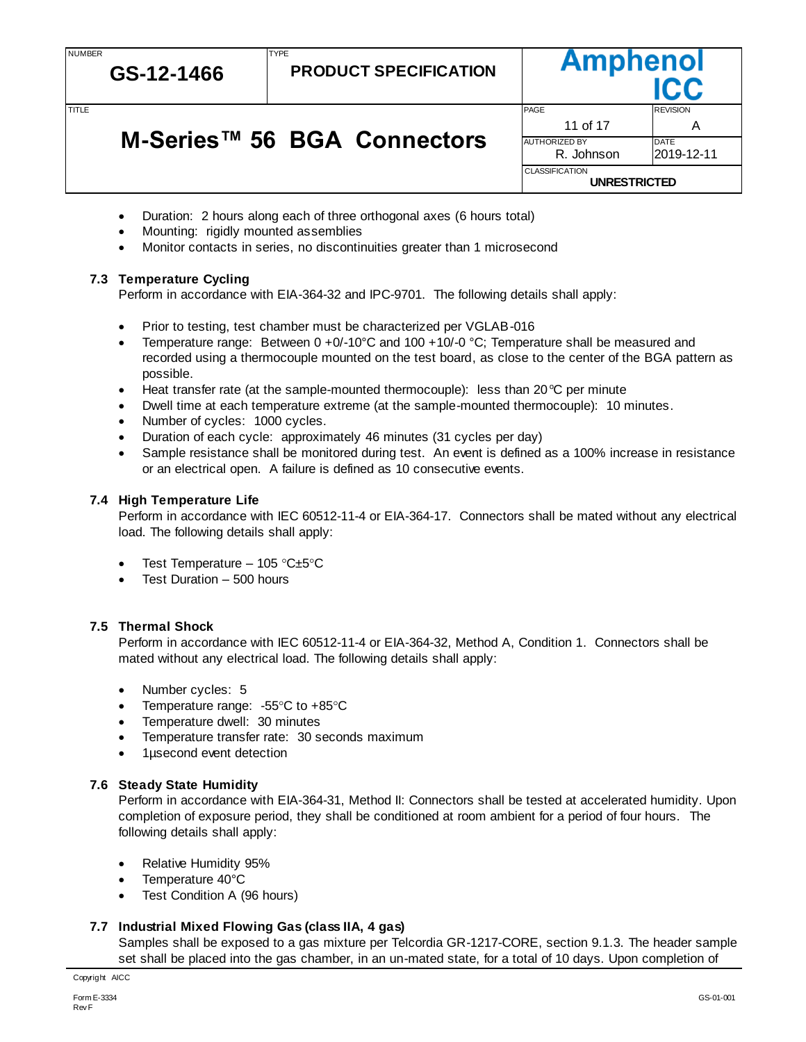NUMBER

**GS-12-1466**

**PRODUCT SPECIFICATION**

# **M-Series™ 56 BGA Connectors**

TYPE

|        | GS-12-1466                  | <b>PRODUCT SPECIFICATION</b> | ,                     |                 |
|--------|-----------------------------|------------------------------|-----------------------|-----------------|
| TITI F |                             |                              | PAGE                  | <b>REVISION</b> |
|        |                             |                              | 11 of 17              |                 |
|        | M-Series™ 56 BGA Connectors |                              | <b>AUTHORIZED BY</b>  | DATE            |
|        |                             |                              | R. Johnson            | 2019-12-11      |
|        |                             |                              | <b>CLASSIFICATION</b> |                 |
|        |                             |                              | <b>UNRESTRICTED</b>   |                 |

Amnhenol

- Duration: 2 hours along each of three orthogonal axes (6 hours total)
- Mounting: rigidly mounted assemblies
- Monitor contacts in series, no discontinuities greater than 1 microsecond

# <span id="page-10-0"></span>**7.3 Temperature Cycling**

Perform in accordance with EIA-364-32 and IPC-9701. The following details shall apply:

- Prior to testing, test chamber must be characterized per VGLAB-016
- Temperature range: Between  $0 + 0/-10^{\circ}$ C and  $100 + 10/-0^{\circ}$ C; Temperature shall be measured and recorded using a thermocouple mounted on the test board, as close to the center of the BGA pattern as possible.
- Heat transfer rate (at the sample-mounted thermocouple): less than 20 $\degree$ C per minute
- Dwell time at each temperature extreme (at the sample-mounted thermocouple): 10 minutes.
- Number of cycles: 1000 cycles.
- Duration of each cycle: approximately 46 minutes (31 cycles per day)
- Sample resistance shall be monitored during test. An event is defined as a 100% increase in resistance or an electrical open. A failure is defined as 10 consecutive events.

# <span id="page-10-1"></span>**7.4 High Temperature Life**

Perform in accordance with IEC 60512-11-4 or EIA-364-17. Connectors shall be mated without any electrical load. The following details shall apply:

- Test Temperature 105 °C $\pm$ 5°C
- Test Duration 500 hours

# <span id="page-10-2"></span>**7.5 Thermal Shock**

Perform in accordance with IEC 60512-11-4 or EIA-364-32, Method A, Condition 1. Connectors shall be mated without any electrical load. The following details shall apply:

- Number cycles: 5
- Temperature range:  $-55^{\circ}$ C to  $+85^{\circ}$ C
- Temperature dwell: 30 minutes
- Temperature transfer rate: 30 seconds maximum
- 1µsecond event detection

# <span id="page-10-3"></span>**7.6 Steady State Humidity**

Perform in accordance with EIA-364-31, Method II: Connectors shall be tested at accelerated humidity. Upon completion of exposure period, they shall be conditioned at room ambient for a period of four hours. The following details shall apply:

- Relative Humidity 95%
- Temperature 40°C
- Test Condition A (96 hours)

# <span id="page-10-4"></span>**7.7 Industrial Mixed Flowing Gas (class IIA, 4 gas)**

Samples shall be exposed to a gas mixture per Telcordia GR-1217-CORE, section 9.1.3. The header sample set shall be placed into the gas chamber, in an un-mated state, for a total of 10 days. Upon completion of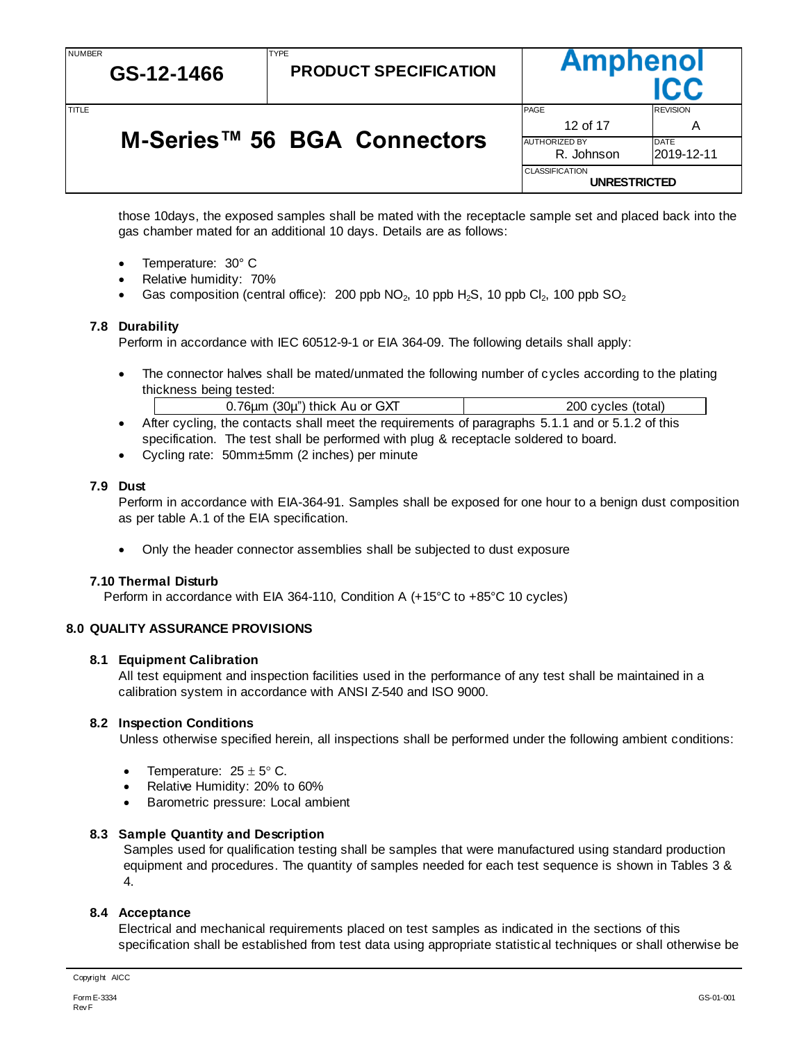NUMBER

# **GS-12-1466**

**PRODUCT SPECIFICATION**

# **M-Series™ 56 BGA Connectors**

TYPE

**Ampheno** TITLE TIME REVISION AND REVISION CONTROL CONTROL CONTROL CONTROL CONTROL CONTROL CONTROL CONTROL CONTROL CONTROL CONTROL CONTROL CONTROL CONTROL CONTROL CONTROL CONTROL CONTROL CONTROL CONTROL CONTROL CONTROL CONTROL CONTR 12 of 17 A AUTHORIZED BY DATE R. Johnson 2019-12-11 CLASSIFICATION **UNRESTRICTED**

those 10days, the exposed samples shall be mated with the receptacle sample set and placed back into the gas chamber mated for an additional 10 days. Details are as follows:

- Temperature: 30° C
- Relative humidity: 70%
- Gas composition (central office): 200 ppb  $NO_2$ , 10 ppb  $H_2S$ , 10 ppb  $Cl_2$ , 100 ppb  $SO_2$

# <span id="page-11-0"></span>**7.8 Durability**

Perform in accordance with IEC 60512-9-1 or EIA 364-09. The following details shall apply:

• The connector halves shall be mated/unmated the following number of cycles according to the plating thickness being tested:

| .76µm (30µ") thick Au or GXT | 200 cycles (total) |
|------------------------------|--------------------|
|                              |                    |

- After cycling, the contacts shall meet the requirements of paragraphs 5.1.1 and or 5.1.2 of this specification. The test shall be performed with plug & receptacle soldered to board.
- Cycling rate: 50mm±5mm (2 inches) per minute

### <span id="page-11-1"></span>**7.9 Dust**

Perform in accordance with EIA-364-91. Samples shall be exposed for one hour to a benign dust composition as per table A.1 of the EIA specification.

Only the header connector assemblies shall be subjected to dust exposure

# <span id="page-11-2"></span>**7.10 Thermal Disturb**

Perform in accordance with EIA 364-110, Condition A (+15°C to +85°C 10 cycles)

# <span id="page-11-3"></span>**8.0 QUALITY ASSURANCE PROVISIONS**

### <span id="page-11-4"></span>**8.1 Equipment Calibration**

All test equipment and inspection facilities used in the performance of any test shall be maintained in a calibration system in accordance with ANSI Z-540 and ISO 9000.

### <span id="page-11-5"></span>**8.2 Inspection Conditions**

Unless otherwise specified herein, all inspections shall be performed under the following ambient conditions:

- Temperature:  $25 \pm 5^{\circ}$  C.
- Relative Humidity: 20% to 60%
- Barometric pressure: Local ambient

# <span id="page-11-6"></span>**8.3 Sample Quantity and Description**

Samples used for qualification testing shall be samples that were manufactured using standard production equipment and procedures. The quantity of samples needed for each test sequence is shown in Tables 3 & 4.

# <span id="page-11-7"></span>**8.4 Acceptance**

Electrical and mechanical requirements placed on test samples as indicated in the sections of this specification shall be established from test data using appropriate statistical techniques or shall otherwise be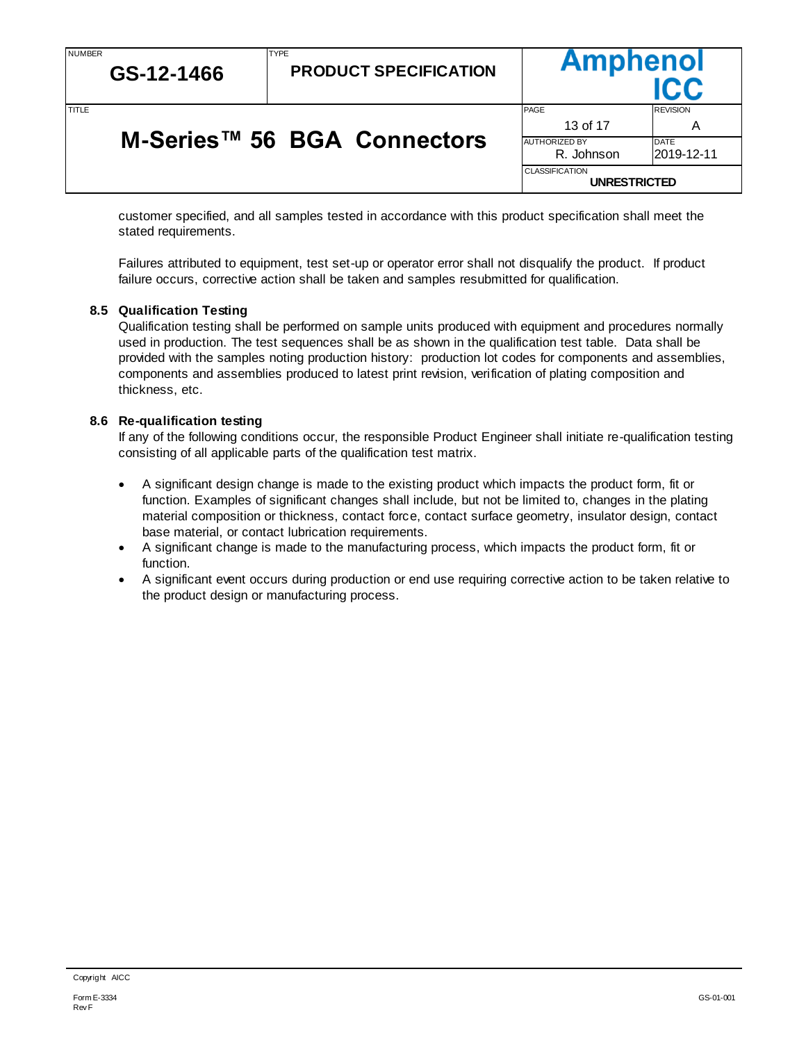**GS-12-1466**

**PRODUCT SPECIFICATION**

# **M-Series™ 56 BGA Connectors**

TYPE

**Ampheno** TITLE TIME REVISION AND REVISION CONTROL CONTROL CONTROL CONTROL CONTROL CONTROL CONTROL CONTROL CONTROL CONTROL CONTROL CONTROL CONTROL CONTROL CONTROL CONTROL CONTROL CONTROL CONTROL CONTROL CONTROL CONTROL CONTROL CONTR 13 of 17 A AUTHORIZED BY DATE R. Johnson 2019-12-11 CLASSIFICATION **UNRESTRICTED**

customer specified, and all samples tested in accordance with this product specification shall meet the stated requirements.

Failures attributed to equipment, test set-up or operator error shall not disqualify the product. If product failure occurs, corrective action shall be taken and samples resubmitted for qualification.

# <span id="page-12-0"></span>**8.5 Qualification Testing**

Qualification testing shall be performed on sample units produced with equipment and procedures normally used in production. The test sequences shall be as shown in the qualification test table. Data shall be provided with the samples noting production history: production lot codes for components and assemblies, components and assemblies produced to latest print revision, verification of plating composition and thickness, etc.

# <span id="page-12-1"></span>**8.6 Re-qualification testing**

If any of the following conditions occur, the responsible Product Engineer shall initiate re-qualification testing consisting of all applicable parts of the qualification test matrix.

- A significant design change is made to the existing product which impacts the product form, fit or function. Examples of significant changes shall include, but not be limited to, changes in the plating material composition or thickness, contact force, contact surface geometry, insulator design, contact base material, or contact lubrication requirements.
- A significant change is made to the manufacturing process, which impacts the product form, fit or function.
- A significant event occurs during production or end use requiring corrective action to be taken relative to the product design or manufacturing process.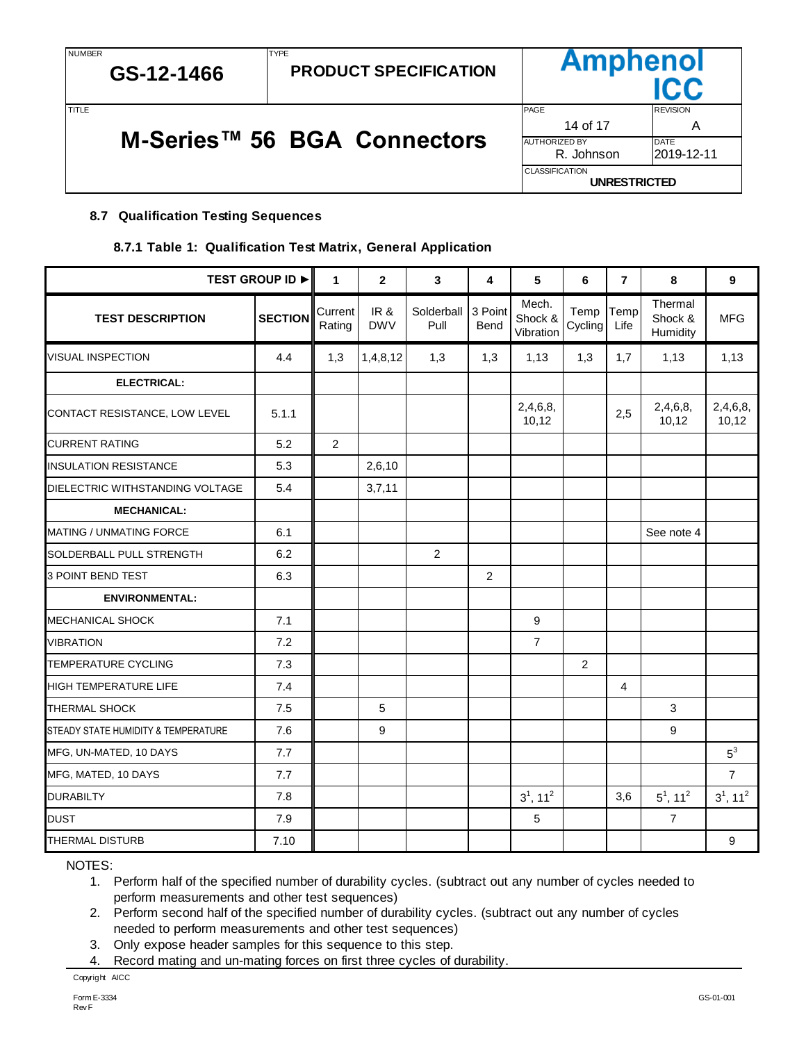# **M-Series™ 56 BGA Connectors**

TYPE

|       | GS-12-1466 | <b>PRODUCT SPECIFICATION</b> | <b>AUPUGUVI</b>                              |                 |
|-------|------------|------------------------------|----------------------------------------------|-----------------|
| TITLE |            |                              | <b>PAGE</b>                                  | <b>REVISION</b> |
|       |            |                              | 14 of 17                                     | Α               |
|       |            | M-Series™ 56 BGA Connectors  | <b>AUTHORIZED BY</b>                         | <b>DATE</b>     |
|       |            |                              | R. Johnson                                   | 2019-12-11      |
|       |            |                              | <b>CLASSIFICATION</b><br><b>UNRESTRICTED</b> |                 |

Amnhanol

# <span id="page-13-1"></span><span id="page-13-0"></span>**8.7 Qualification Testing Sequences**

# **8.7.1 Table 1: Qualification Test Matrix, General Application**

|                                     | <b>TEST GROUP ID ▶</b> | $\mathbf{1}$      | $\overline{2}$    | 3                  | 4               | 5                             | 6               | $\overline{7}$ | 8                              | $\overline{9}$          |
|-------------------------------------|------------------------|-------------------|-------------------|--------------------|-----------------|-------------------------------|-----------------|----------------|--------------------------------|-------------------------|
| <b>TEST DESCRIPTION</b>             | <b>SECTION</b>         | Current<br>Rating | IR&<br><b>DWV</b> | Solderball<br>Pull | 3 Point<br>Bend | Mech.<br>Shock &<br>Vibration | Temp<br>Cycling | Temp<br>Life   | Thermal<br>Shock &<br>Humidity | <b>MFG</b>              |
| <b>VISUAL INSPECTION</b>            | 4.4                    | 1,3               | 1,4,8,12          | 1,3                | 1,3             | 1,13                          | 1,3             | 1,7            | 1,13                           | 1,13                    |
| ELECTRICAL:                         |                        |                   |                   |                    |                 |                               |                 |                |                                |                         |
| CONTACT RESISTANCE, LOW LEVEL       | 5.1.1                  |                   |                   |                    |                 | 2,4,6,8,<br>10,12             |                 | 2,5            | 2,4,6,8,<br>10, 12             | 2,4,6,8,<br>10,12       |
| <b>CURRENT RATING</b>               | 5.2                    | $\overline{2}$    |                   |                    |                 |                               |                 |                |                                |                         |
| <b>INSULATION RESISTANCE</b>        | 5.3                    |                   | 2,6,10            |                    |                 |                               |                 |                |                                |                         |
| DIELECTRIC WITHSTANDING VOLTAGE     | 5.4                    |                   | 3,7,11            |                    |                 |                               |                 |                |                                |                         |
| <b>MECHANICAL:</b>                  |                        |                   |                   |                    |                 |                               |                 |                |                                |                         |
| MATING / UNMATING FORCE             | 6.1                    |                   |                   |                    |                 |                               |                 |                | See note 4                     |                         |
| SOLDERBALL PULL STRENGTH            | 6.2                    |                   |                   | $\overline{2}$     |                 |                               |                 |                |                                |                         |
| 3 POINT BEND TEST                   | 6.3                    |                   |                   |                    | 2               |                               |                 |                |                                |                         |
| <b>ENVIRONMENTAL:</b>               |                        |                   |                   |                    |                 |                               |                 |                |                                |                         |
| MECHANICAL SHOCK                    | 7.1                    |                   |                   |                    |                 | 9                             |                 |                |                                |                         |
| <b>VIBRATION</b>                    | 7.2                    |                   |                   |                    |                 | $\overline{7}$                |                 |                |                                |                         |
| <b>TEMPERATURE CYCLING</b>          | 7.3                    |                   |                   |                    |                 |                               | 2               |                |                                |                         |
| <b>HIGH TEMPERATURE LIFE</b>        | 7.4                    |                   |                   |                    |                 |                               |                 | 4              |                                |                         |
| <b>THERMAL SHOCK</b>                | 7.5                    |                   | 5                 |                    |                 |                               |                 |                | 3                              |                         |
| STEADY STATE HUMIDITY & TEMPERATURE | 7.6                    |                   | 9                 |                    |                 |                               |                 |                | 9                              |                         |
| MFG, UN-MATED, 10 DAYS              | 7.7                    |                   |                   |                    |                 |                               |                 |                |                                | $5^3$                   |
| MFG, MATED, 10 DAYS                 | 7.7                    |                   |                   |                    |                 |                               |                 |                |                                | $\overline{7}$          |
| <b>DURABILTY</b>                    | 7.8                    |                   |                   |                    |                 | $3^1$ , 11 <sup>2</sup>       |                 | 3,6            | $5^1$ , 11 <sup>2</sup>        | $3^1$ , 11 <sup>2</sup> |
| <b>DUST</b>                         | 7.9                    |                   |                   |                    |                 | 5                             |                 |                | $\overline{7}$                 |                         |
| <b>THERMAL DISTURB</b>              | 7.10                   |                   |                   |                    |                 |                               |                 |                |                                | 9                       |

NOTES:

1. Perform half of the specified number of durability cycles. (subtract out any number of cycles needed to perform measurements and other test sequences)

2. Perform second half of the specified number of durability cycles. (subtract out any number of cycles needed to perform measurements and other test sequences)

- 3. Only expose header samples for this sequence to this step.
- 4. Record mating and un-mating forces on first three cycles of durability.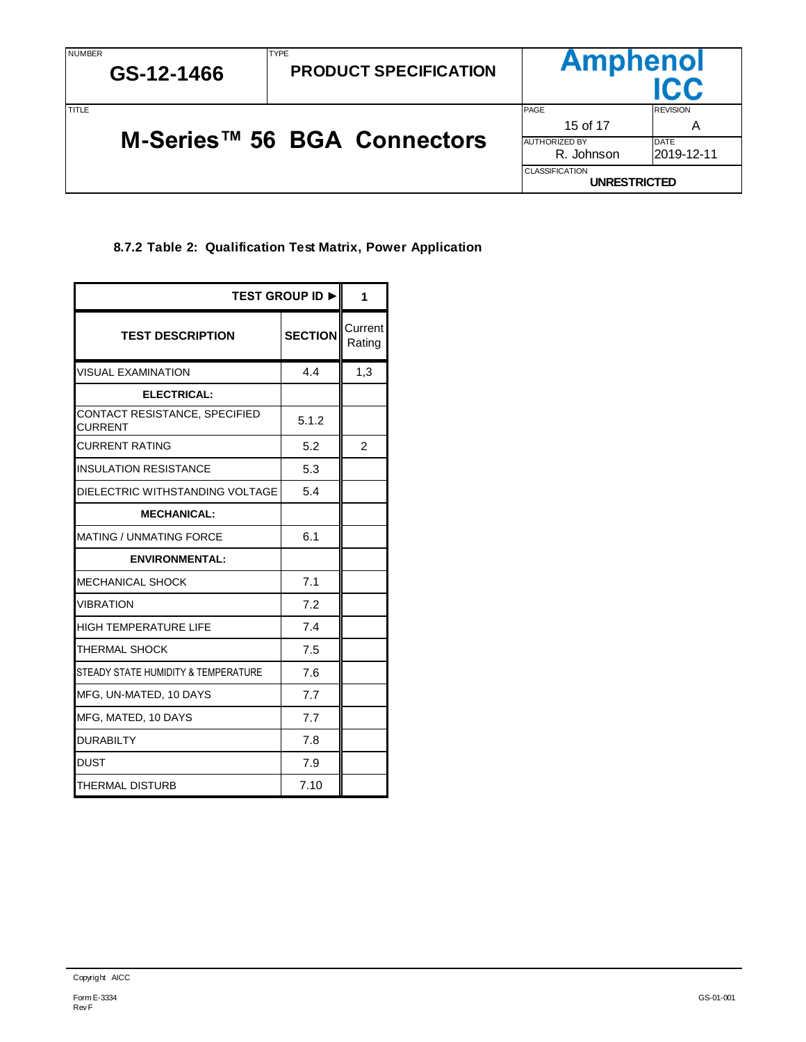# <span id="page-14-0"></span>**8.7.2 Table 2: Qualification Test Matrix, Power Application**

| <b>TEST GROUP ID ►</b>                          |                   |     |  |  |
|-------------------------------------------------|-------------------|-----|--|--|
| <b>TEST DESCRIPTION</b>                         | Current<br>Rating |     |  |  |
| <b>VISUAL EXAMINATION</b>                       | 4.4               | 1,3 |  |  |
| ELECTRICAL:                                     |                   |     |  |  |
| CONTACT RESISTANCE, SPECIFIED<br><b>CURRENT</b> | 5.1.2             |     |  |  |
| <b>CURRENT RATING</b>                           | 5.2               | 2   |  |  |
| <b>INSULATION RESISTANCE</b>                    | 5.3               |     |  |  |
| DIELECTRIC WITHSTANDING VOLTAGE                 | 5.4               |     |  |  |
| <b>MECHANICAL:</b>                              |                   |     |  |  |
| <b>MATING / UNMATING FORCE</b>                  | 6.1               |     |  |  |
| <b>ENVIRONMENTAL:</b>                           |                   |     |  |  |
| MECHANICAL SHOCK                                | 7.1               |     |  |  |
| <b>VIBRATION</b>                                | 7.2               |     |  |  |
| <b>HIGH TEMPERATURE LIFE</b>                    | 7.4               |     |  |  |
| THERMAL SHOCK                                   | 7.5               |     |  |  |
| STEADY STATE HUMIDITY & TEMPERATURE             | 7.6               |     |  |  |
| MFG, UN-MATED, 10 DAYS                          | 7.7               |     |  |  |
| MFG, MATED, 10 DAYS                             | 7.7               |     |  |  |
| <b>DURABILTY</b>                                | 7.8               |     |  |  |
| <b>DUST</b>                                     | 7.9               |     |  |  |
| THERMAL DISTURB                                 | 7.10              |     |  |  |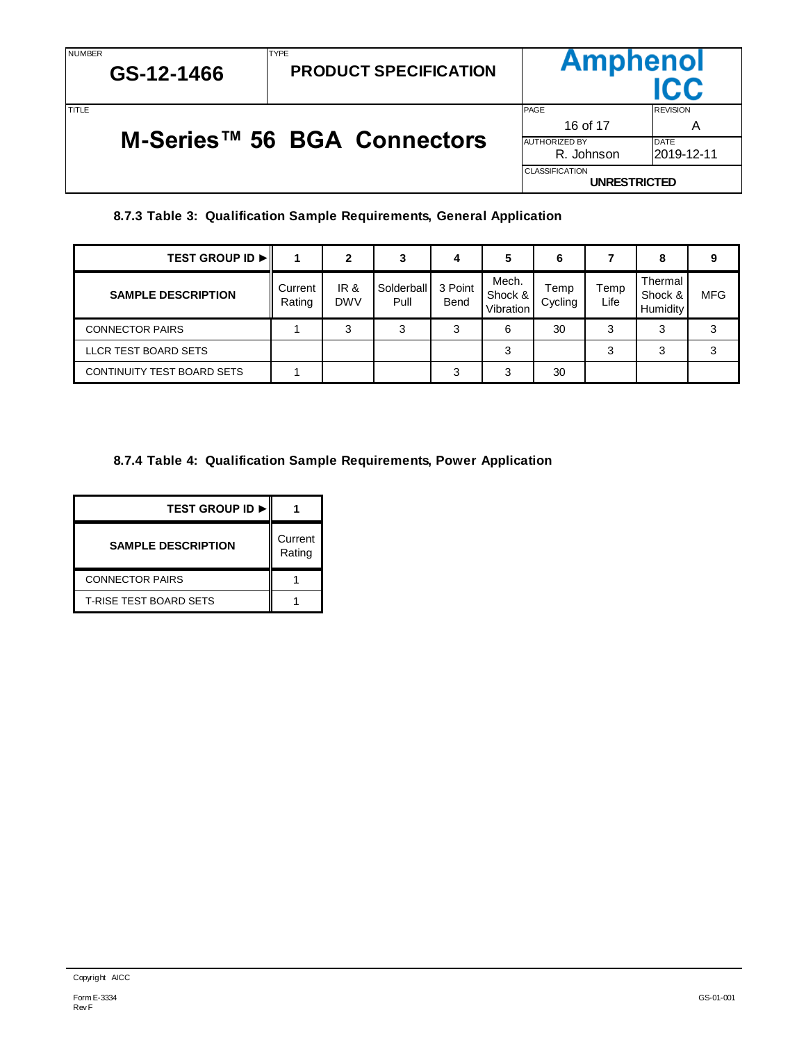| NUMBER |  |
|--------|--|
|--------|--|

| NUMBER<br>GS-12-1466 |  | <b>ITYPE</b><br><b>PRODUCT SPECIFICATION</b> | <b>Amphenol</b>                                                 |                      |  |
|----------------------|--|----------------------------------------------|-----------------------------------------------------------------|----------------------|--|
| TITI F               |  |                                              | <b>PAGE</b><br>16 of 17                                         | <b>REVISION</b><br>A |  |
|                      |  | M-Series™ 56 BGA Connectors                  | <b>AUTHORIZED BY</b><br><b>DATE</b><br>R. Johnson<br>2019-12-11 |                      |  |
|                      |  |                                              | <b>CLASSIFICATION</b><br><b>UNRESTRICTED</b>                    |                      |  |

TYPE

# **8.7.3 Table 3: Qualification Sample Requirements, General Application**

<span id="page-15-0"></span>

| <b>TEST GROUP ID ►</b>     |                   | 2                  | 3                  | 4               | 5                             | 6               |              | 8                              | 9          |
|----------------------------|-------------------|--------------------|--------------------|-----------------|-------------------------------|-----------------|--------------|--------------------------------|------------|
| <b>SAMPLE DESCRIPTION</b>  | Current<br>Rating | IR &<br><b>DWV</b> | Solderball<br>Pull | 3 Point<br>Bend | Mech.<br>Shock &<br>Vibration | Temp<br>Cycling | Temp<br>Life | Thermal<br>Shock &<br>Humidity | <b>MFG</b> |
| <b>CONNECTOR PAIRS</b>     |                   | 3                  | 3                  | ິ<br>J٦         | 6                             | 30              | 3            | 3                              |            |
| LLCR TEST BOARD SETS       |                   |                    |                    |                 | 3                             |                 | 3            | 3                              |            |
| CONTINUITY TEST BOARD SETS |                   |                    |                    | ົ               | ີ                             | 30              |              |                                |            |

# <span id="page-15-1"></span>**8.7.4 Table 4: Qualification Sample Requirements, Power Application**

| <b>TEST GROUP ID ▶ I</b>      |                   |
|-------------------------------|-------------------|
| <b>SAMPLE DESCRIPTION</b>     | Current<br>Rating |
| <b>CONNECTOR PAIRS</b>        |                   |
| <b>T-RISE TEST BOARD SETS</b> |                   |